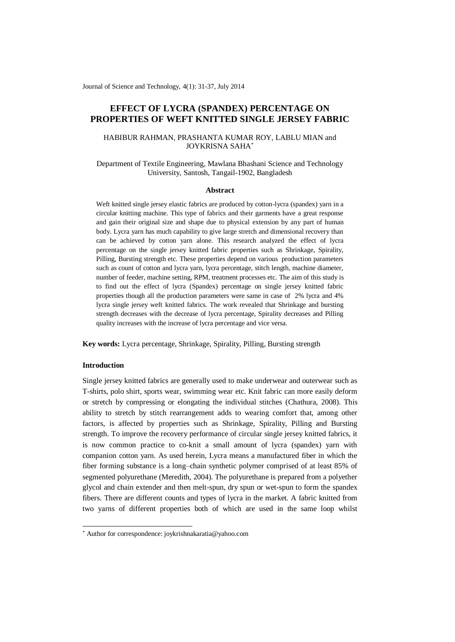Journal of Science and Technology, 4(1): 31-37, July 2014

# **EFFECT OF LYCRA (SPANDEX) PERCENTAGE ON PROPERTIES OF WEFT KNITTED SINGLE JERSEY FABRIC**

## HABIBUR RAHMAN, PRASHANTA KUMAR ROY, LABLU MIAN and JOYKRISNA SAHA\*

## Department of Textile Engineering, Mawlana Bhashani Science and Technology University, Santosh, Tangail-1902, Bangladesh

#### **Abstract**

Weft knitted single jersey elastic fabrics are produced by cotton-lycra (spandex) yarn in a circular knitting machine. This type of fabrics and their garments have a great response and gain their original size and shape due to physical extension by any part of human body. Lycra yarn has much capability to give large stretch and dimensional recovery than can be achieved by cotton yarn alone. This research analyzed the effect of lycra percentage on the single jersey knitted fabric properties such as Shrinkage, Spirality, Pilling, Bursting strength etc. These properties depend on various production parameters such as count of cotton and lycra yarn, lycra percentage, stitch length, machine diameter, number of feeder, machine setting, RPM, treatment processes etc. The aim of this study is to find out the effect of lycra (Spandex) percentage on single jersey knitted fabric properties though all the production parameters were same in case of 2% lycra and 4% lycra single jersey weft knitted fabrics. The work revealed that Shrinkage and bursting strength decreases with the decrease of lycra percentage, Spirality decreases and Pilling quality increases with the increase of lycra percentage and vice versa.

**Key words:** Lycra percentage, Shrinkage, Spirality, Pilling, Bursting strength

## **Introduction**

-

Single jersey knitted fabrics are generally used to make underwear and outerwear such as T-shirts, polo shirt, sports wear, swimming wear etc. Knit fabric can more easily deform or stretch by compressing or elongating the individual stitches (Chathura, 2008). This ability to stretch by stitch rearrangement adds to wearing comfort that, among other factors, is affected by properties such as Shrinkage, Spirality, Pilling and Bursting strength. To improve the recovery performance of circular single jersey knitted fabrics, it is now common practice to co-knit a small amount of lycra (spandex) yarn with companion cotton yarn. As used herein, Lycra means a manufactured fiber in which the fiber forming substance is a long–chain synthetic polymer comprised of at least 85% of segmented polyurethane (Meredith, 2004). The polyurethane is prepared from a polyether glycol and chain extender and then melt-spun, dry spun or wet-spun to form the spandex fibers. There are different counts and types of lycra in the market. A fabric knitted from two yarns of different properties both of which are used in the same loop whilst

<sup>\*</sup> Author for correspondence: joykrishnakaratia@yahoo.com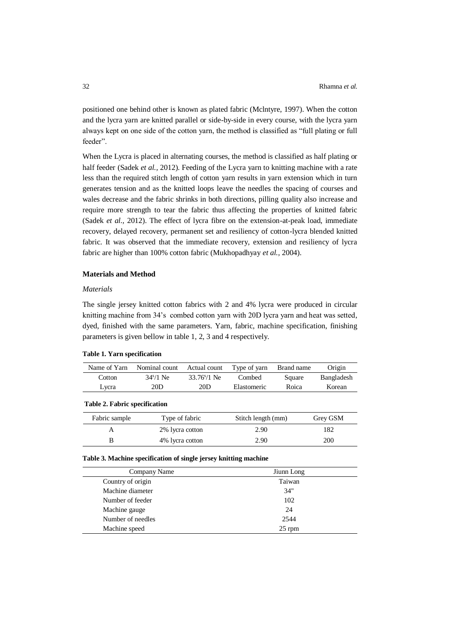positioned one behind other is known as plated fabric (Mclntyre, 1997). When the cotton and the lycra yarn are knitted parallel or side-by-side in every course, with the lycra yarn always kept on one side of the cotton yarn, the method is classified as "full plating or full feeder".

When the Lycra is placed in alternating courses, the method is classified as half plating or half feeder (Sadek *et al.*, 2012). Feeding of the Lycra yarn to knitting machine with a rate less than the required stitch length of cotton yarn results in yarn extension which in turn generates tension and as the knitted loops leave the needles the spacing of courses and wales decrease and the fabric shrinks in both directions, pilling quality also increase and require more strength to tear the fabric thus affecting the properties of knitted fabric (Sadek *et al.,* 2012). The effect of lycra fibre on the extension-at-peak load, immediate recovery, delayed recovery, permanent set and resiliency of cotton-lycra blended knitted fabric. It was observed that the immediate recovery, extension and resiliency of lycra fabric are higher than 100% cotton fabric (Mukhopadhyay *et al.,* 2004).

### **Materials and Method**

### *Materials*

The single jersey knitted cotton fabrics with 2 and 4% lycra were produced in circular knitting machine from 34's combed cotton yarn with 20D lycra yarn and heat was setted, dyed, finished with the same parameters. Yarn, fabric, machine specification, finishing parameters is given bellow in table 1, 2, 3 and 4 respectively.

#### **Table 1. Yarn specification**

| Name of Yarn                         | Nominal count | Actual count          | Type of yarn | Brand name | Origin     |  |
|--------------------------------------|---------------|-----------------------|--------------|------------|------------|--|
| Cotton                               | $34s/1$ Ne    | $33.76\frac{s}{1}$ Ne | Combed       | Square     | Bangladesh |  |
| Lvcra                                | 20D           | 20D                   | Elastomeric  |            | Korean     |  |
| <b>Table 2. Fabric specification</b> |               |                       |              |            |            |  |

| Fabric sample | Type of fabric  | Stitch length (mm) | Grey GSM   |
|---------------|-----------------|--------------------|------------|
|               | 2% lycra cotton | 2.90               | 182        |
|               | 4% lycra cotton | 2.90               | <b>200</b> |

#### **Table 3. Machine specification of single jersey knitting machine**

| Company Name      | Jiunn Long |  |  |
|-------------------|------------|--|--|
| Country of origin | Taiwan     |  |  |
| Machine diameter  | 34"        |  |  |
| Number of feeder  | 102        |  |  |
| Machine gauge     | 24         |  |  |
| Number of needles | 2544       |  |  |
| Machine speed     | $25$ rpm   |  |  |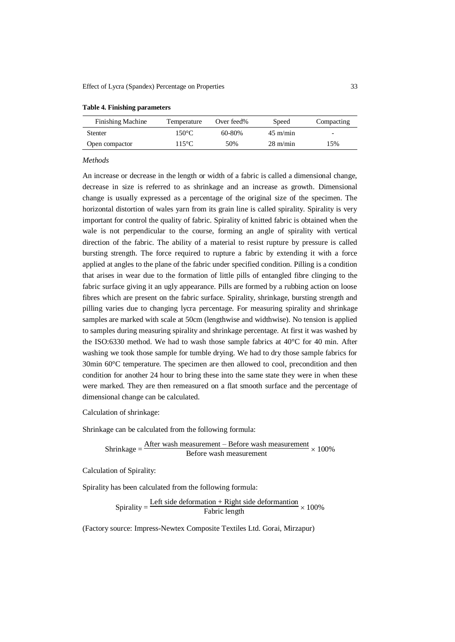| <b>Finishing Machine</b> | Temperature     | Over feed% | Speed              | Compacting               |
|--------------------------|-----------------|------------|--------------------|--------------------------|
| <b>Stenter</b>           | $150^{\circ}$ C | 60-80%     | $45 \text{ m/min}$ | $\overline{\phantom{a}}$ |
| Open compactor           | $115^{\circ}$ C | 50%        | $28 \text{ m/min}$ | 15%                      |

#### **Table 4. Finishing parameters**

#### *Methods*

An increase or decrease in the length or width of a fabric is called a dimensional change, decrease in size is referred to as shrinkage and an increase as growth. Dimensional change is usually expressed as a percentage of the original size of the specimen. The horizontal distortion of wales yarn from its grain line is called spirality. Spirality is very important for control the quality of fabric. Spirality of knitted fabric is obtained when the wale is not perpendicular to the course, forming an angle of spirality with vertical direction of the fabric. The ability of a material to resist rupture by pressure is called bursting strength. The force required to rupture a fabric by extending it with a force applied at angles to the plane of the fabric under specified condition. Pilling is a condition that arises in wear due to the formation of little pills of entangled fibre clinging to the fabric surface giving it an ugly appearance. Pills are formed by a rubbing action on loose fibres which are present on the fabric surface. Spirality, shrinkage, bursting strength and pilling varies due to changing lycra percentage. For measuring spirality and shrinkage samples are marked with scale at 50cm (lengthwise and widthwise). No tension is applied to samples during measuring spirality and shrinkage percentage. At first it was washed by the ISO:6330 method. We had to wash those sample fabrics at 40°C for 40 min. After washing we took those sample for tumble drying. We had to dry those sample fabrics for 30min 60°C temperature. The specimen are then allowed to cool, precondition and then condition for another 24 hour to bring these into the same state they were in when these were marked. They are then remeasured on a flat smooth surface and the percentage of dimensional change can be calculated.

Calculation of shrinkage:

Shrinkage can be calculated from the following formula:

Shrinkage = 
$$
\frac{\text{After wash measurement} - \text{Before wash measurement}}{\text{Before wash measurement}} \times 100\%
$$

Calculation of Spirality:

Spirality has been calculated from the following formula:

$$
Spirality = \frac{Left \, side \, deformation + Right \, side \, deformation}{Fabric \, length} \times 100\%
$$

(Factory source: Impress-Newtex Composite Textiles Ltd. Gorai, Mirzapur)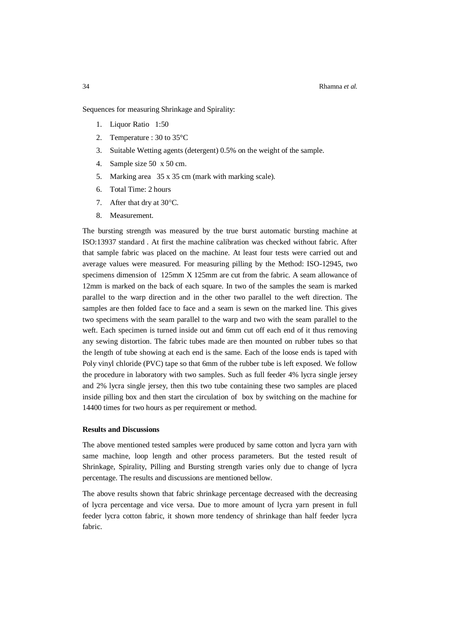Sequences for measuring Shrinkage and Spirality:

- 1. Liquor Ratio 1:50
- 2. Temperature : 30 to 35°C
- 3. Suitable Wetting agents (detergent) 0.5% on the weight of the sample.
- 4. Sample size 50 x 50 cm.
- 5. Marking area 35 x 35 cm (mark with marking scale).
- 6. Total Time: 2 hours
- 7. After that dry at  $30^{\circ}$ C.
- 8. Measurement.

The bursting strength was measured by the true burst automatic bursting machine at ISO:13937 standard . At first the machine calibration was checked without fabric. After that sample fabric was placed on the machine. At least four tests were carried out and average values were measured. For measuring pilling by the Method: ISO-12945, two specimens dimension of 125mm X 125mm are cut from the fabric. A seam allowance of 12mm is marked on the back of each square. In two of the samples the seam is marked parallel to the warp direction and in the other two parallel to the weft direction. The samples are then folded face to face and a seam is sewn on the marked line. This gives two specimens with the seam parallel to the warp and two with the seam parallel to the weft. Each specimen is turned inside out and 6mm cut off each end of it thus removing any sewing distortion. The fabric tubes made are then mounted on rubber tubes so that the length of tube showing at each end is the same. Each of the loose ends is taped with Poly vinyl chloride (PVC) tape so that 6mm of the rubber tube is left exposed. We follow the procedure in laboratory with two samples. Such as full feeder 4% lycra single jersey and 2% lycra single jersey, then this two tube containing these two samples are placed inside pilling box and then start the circulation of box by switching on the machine for 14400 times for two hours as per requirement or method.

#### **Results and Discussions**

The above mentioned tested samples were produced by same cotton and lycra yarn with same machine, loop length and other process parameters. But the tested result of Shrinkage, Spirality, Pilling and Bursting strength varies only due to change of lycra percentage. The results and discussions are mentioned bellow.

The above results shown that fabric shrinkage percentage decreased with the decreasing of lycra percentage and vice versa. Due to more amount of lycra yarn present in full feeder lycra cotton fabric, it shown more tendency of shrinkage than half feeder lycra fabric.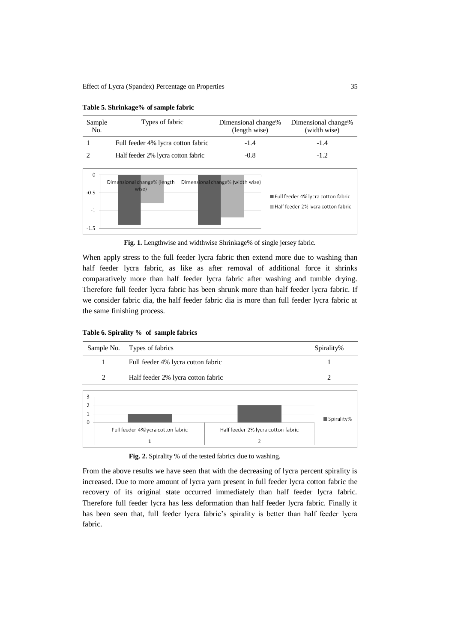| Types of fabric<br>Sample<br>No. |                                      | Dimensional change%<br>(length wise) | Dimensional change%<br>(width wise)                                      |  |
|----------------------------------|--------------------------------------|--------------------------------------|--------------------------------------------------------------------------|--|
|                                  | Full feeder 4% lycra cotton fabric   | $-1.4$                               | $-1.4$                                                                   |  |
| $\mathcal{D}_{\mathcal{L}}$      | Half feeder 2% lycra cotton fabric   | $-0.8$                               | $-1.2$                                                                   |  |
| 0<br>$-0.5$<br>$-1$<br>$-1.5$    | Dimensional change% (length<br>wise) | Dimensional change% (width wise)     | Full feeder 4% lycra cotton fabric<br>Half feeder 2% lycra cotton fabric |  |

**Table 5. Shrinkage% of sample fabric**

**Fig. 1.** Lengthwise and widthwise Shrinkage% of single jersey fabric.

When apply stress to the full feeder lycra fabric then extend more due to washing than half feeder lycra fabric, as like as after removal of additional force it shrinks comparatively more than half feeder lycra fabric after washing and tumble drying. Therefore full feeder lycra fabric has been shrunk more than half feeder lycra fabric. If we consider fabric dia, the half feeder fabric dia is more than full feeder lycra fabric at the same finishing process.

|  |  | Table 6. Spirality % of sample fabrics |  |  |  |  |
|--|--|----------------------------------------|--|--|--|--|
|--|--|----------------------------------------|--|--|--|--|



Fig. 2. Spirality % of the tested fabrics due to washing.

From the above results we have seen that with the decreasing of lycra percent spirality is increased. Due to more amount of lycra yarn present in full feeder lycra cotton fabric the recovery of its original state occurred immediately than half feeder lycra fabric. Therefore full feeder lycra has less deformation than half feeder lycra fabric. Finally it has been seen that, full feeder lycra fabric's spirality is better than half feeder lycra fabric.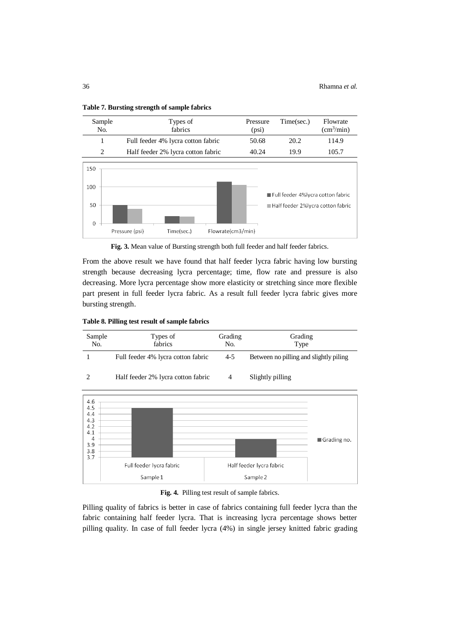

**Table 7. Bursting strength of sample fabrics**



From the above result we have found that half feeder lycra fabric having low bursting strength because decreasing lycra percentage; time, flow rate and pressure is also decreasing. More lycra percentage show more elasticity or stretching since more flexible part present in full feeder lycra fabric. As a result full feeder lycra fabric gives more bursting strength.

**Table 8. Pilling test result of sample fabrics**





**Fig. 4.** Pilling test result of sample fabrics.

Pilling quality of fabrics is better in case of fabrics containing full feeder lycra than the fabric containing half feeder lycra. That is increasing lycra percentage shows better pilling quality. In case of full feeder lycra (4%) in single jersey knitted fabric grading